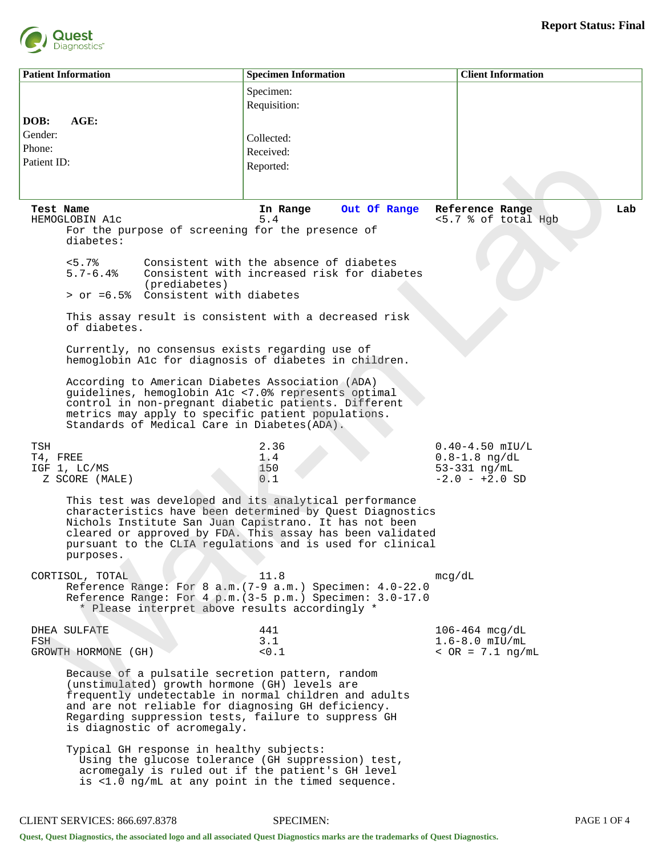

|                                          | <b>Patient Information</b>                                                                                                                                                                                                                                                                                           | <b>Specimen Information</b>                                                                                                    | <b>Client Information</b>                                                    |  |  |
|------------------------------------------|----------------------------------------------------------------------------------------------------------------------------------------------------------------------------------------------------------------------------------------------------------------------------------------------------------------------|--------------------------------------------------------------------------------------------------------------------------------|------------------------------------------------------------------------------|--|--|
|                                          |                                                                                                                                                                                                                                                                                                                      | Specimen:<br>Requisition:                                                                                                      |                                                                              |  |  |
| DOB:<br>Gender:<br>Phone:<br>Patient ID: | AGE:                                                                                                                                                                                                                                                                                                                 | Collected:<br>Received:<br>Reported:                                                                                           |                                                                              |  |  |
| Test Name                                | HEMOGLOBIN A1c                                                                                                                                                                                                                                                                                                       | Out Of Range<br>In Range<br>5.4                                                                                                | Reference Range<br>Lab<br><5.7 % of total Hgb                                |  |  |
|                                          | For the purpose of screening for the presence of<br>diabetes:                                                                                                                                                                                                                                                        |                                                                                                                                |                                                                              |  |  |
|                                          | < 5.7%<br>$5.7 - 6.4%$<br>(prediabetes)<br>> or =6.5% Consistent with diabetes                                                                                                                                                                                                                                       | Consistent with the absence of diabetes<br>Consistent with increased risk for diabetes                                         |                                                                              |  |  |
|                                          | This assay result is consistent with a decreased risk<br>of diabetes.                                                                                                                                                                                                                                                |                                                                                                                                |                                                                              |  |  |
|                                          | Currently, no consensus exists regarding use of<br>hemoglobin Alc for diagnosis of diabetes in children.                                                                                                                                                                                                             |                                                                                                                                |                                                                              |  |  |
|                                          | According to American Diabetes Association (ADA)<br>guidelines, hemoglobin Alc <7.0% represents optimal<br>control in non-pregnant diabetic patients. Different<br>metrics may apply to specific patient populations.<br>Standards of Medical Care in Diabetes (ADA).                                                |                                                                                                                                |                                                                              |  |  |
| TSH<br>T4, FREE                          | IGF 1, LC/MS<br>Z SCORE (MALE)                                                                                                                                                                                                                                                                                       | 2.36<br>1.4<br>150<br>0.1                                                                                                      | $0.40 - 4.50$ mIU/L<br>$0.8 - 1.8$ ng/dL<br>53-331 ng/mL<br>$-2.0 - +2.0$ SD |  |  |
|                                          | This test was developed and its analytical performance<br>characteristics have been determined by Quest Diagnostics<br>Nichols Institute San Juan Capistrano. It has not been<br>cleared or approved by FDA. This assay has been validated<br>pursuant to the CLIA regulations and is used for clinical<br>purposes. |                                                                                                                                |                                                                              |  |  |
|                                          | CORTISOL, TOTAL<br>* Please interpret above results accordingly *                                                                                                                                                                                                                                                    | 11.8<br>Reference Range: For 8 a.m. (7-9 a.m.) Specimen: 4.0-22.0<br>Reference Range: For 4 p.m. (3-5 p.m.) Specimen: 3.0-17.0 | mcq/dL                                                                       |  |  |
| FSH                                      | DHEA SULFATE<br>GROWTH HORMONE (GH)                                                                                                                                                                                                                                                                                  | 441<br>3.1<br>< 0.1                                                                                                            | $106 - 464$ mcg/dL<br>$1.6 - 8.0$ mIU/mL<br>$~<$ OR = 7.1 ng/mL              |  |  |
|                                          | Because of a pulsatile secretion pattern, random<br>(unstimulated) growth hormone (GH) levels are<br>frequently undetectable in normal children and adults<br>and are not reliable for diagnosing GH deficiency.<br>Regarding suppression tests, failure to suppress GH<br>is diagnostic of acromegaly.              |                                                                                                                                |                                                                              |  |  |
|                                          | Typical GH response in healthy subjects:<br>Using the glucose tolerance (GH suppression) test,<br>acromegaly is ruled out if the patient's GH level<br>is <1.0 ng/mL at any point in the timed sequence.                                                                                                             |                                                                                                                                |                                                                              |  |  |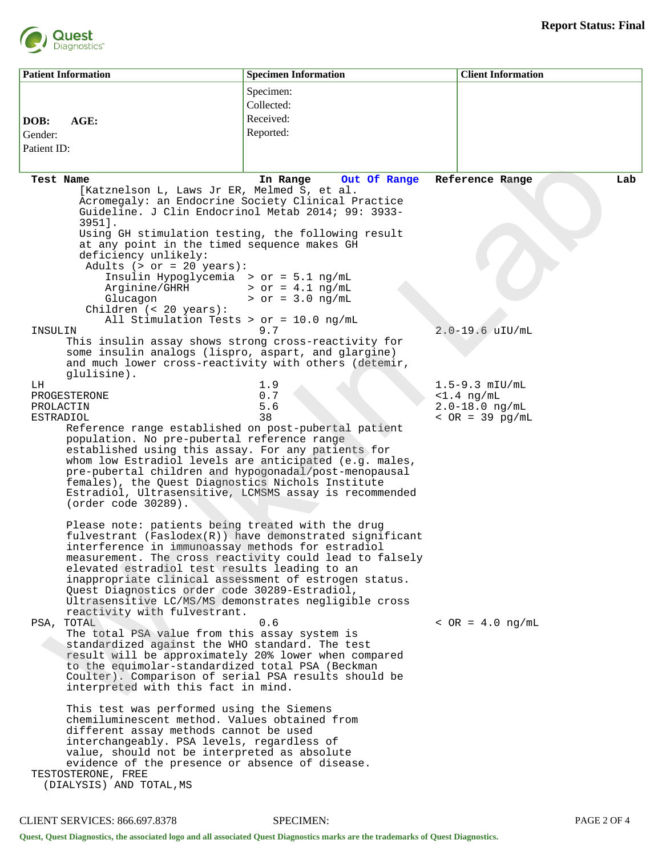

| <b>Patient Information</b>                    |                                                                                                                                                                                                                                                                                                                                                                                                                                                                                                                                                                                                                                                                                                                                                                                                                                                                                                                                                                                                                      | <b>Specimen Information</b>                                                                                                                 | <b>Client Information</b>                                                      |     |
|-----------------------------------------------|----------------------------------------------------------------------------------------------------------------------------------------------------------------------------------------------------------------------------------------------------------------------------------------------------------------------------------------------------------------------------------------------------------------------------------------------------------------------------------------------------------------------------------------------------------------------------------------------------------------------------------------------------------------------------------------------------------------------------------------------------------------------------------------------------------------------------------------------------------------------------------------------------------------------------------------------------------------------------------------------------------------------|---------------------------------------------------------------------------------------------------------------------------------------------|--------------------------------------------------------------------------------|-----|
| DOB:                                          | AGE:                                                                                                                                                                                                                                                                                                                                                                                                                                                                                                                                                                                                                                                                                                                                                                                                                                                                                                                                                                                                                 | Specimen:<br>Collected:<br>Received:                                                                                                        |                                                                                |     |
| Gender:<br>Patient ID:                        |                                                                                                                                                                                                                                                                                                                                                                                                                                                                                                                                                                                                                                                                                                                                                                                                                                                                                                                                                                                                                      | Reported:                                                                                                                                   |                                                                                |     |
| <b>Test Name</b><br>INSULIN                   | [Katznelson L, Laws Jr ER, Melmed S, et al.<br>Acromegaly: an Endocrine Society Clinical Practice<br>Guideline. J Clin Endocrinol Metab 2014; 99: 3933-<br>$3951$ ].<br>Using GH stimulation testing, the following result<br>at any point in the timed sequence makes GH<br>deficiency unlikely:<br>Adults $(> or = 20 years):$<br>Insulin Hypoglycemia > or = $5.1$ ng/mL<br>Arginine/GHRH<br>Glucagon<br>Children $(20 years):$<br>All Stimulation Tests > or = $10.0$ ng/mL<br>This insulin assay shows strong cross-reactivity for<br>some insulin analogs (lispro, aspart, and glargine)                                                                                                                                                                                                                                                                                                                                                                                                                       | In Range<br>Out Of Range<br>$>$ or = 4.1 ng/mL<br>$>$ or = 3.0 ng/mL<br>9.7                                                                 | Reference Range<br>$2.0 - 19.6$ uIU/mL                                         | Lab |
| LH.<br>PROGESTERONE<br>PROLACTIN<br>ESTRADIOL | and much lower cross-reactivity with others (detemir,<br>glulisine).<br>Reference range established on post-pubertal patient<br>population. No pre-pubertal reference range<br>established using this assay. For any patients for<br>pre-pubertal children and hypogonadal/post-menopausal<br>females), the Quest Diagnostics Nichols Institute<br>(order code 30289).                                                                                                                                                                                                                                                                                                                                                                                                                                                                                                                                                                                                                                               | 1.9<br>0.7<br>5.6<br>38<br>whom low Estradiol levels are anticipated (e.g. males,<br>Estradiol, Ultrasensitive, LCMSMS assay is recommended | $1.5 - 9.3$ mIU/mL<br>$<1.4$ ng/mL<br>$2.0 - 18.0$ ng/mL<br>$~<$ OR = 39 pg/mL |     |
| PSA, TOTAL                                    | Please note: patients being treated with the drug<br>interference in immunoassay methods for estradiol<br>elevated estradiol test results leading to an<br>inappropriate clinical assessment of estrogen status.<br>Quest Diagnostics order code 30289-Estradiol,<br>Ultrasensitive LC/MS/MS demonstrates negligible cross<br>reactivity with fulvestrant.<br>The total PSA value from this assay system is<br>standardized against the WHO standard. The test<br>result will be approximately 20% lower when compared<br>to the equimolar-standardized total PSA (Beckman<br>Coulter). Comparison of serial PSA results should be<br>interpreted with this fact in mind.<br>This test was performed using the Siemens<br>chemiluminescent method. Values obtained from<br>different assay methods cannot be used<br>interchangeably. PSA levels, regardless of<br>value, should not be interpreted as absolute<br>evidence of the presence or absence of disease.<br>TESTOSTERONE, FREE<br>(DIALYSIS) AND TOTAL, MS | fulvestrant (Faslodex(R)) have demonstrated significant<br>measurement. The cross reactivity could lead to falsely<br>0.6                   | $~<$ OR = 4.0 ng/mL                                                            |     |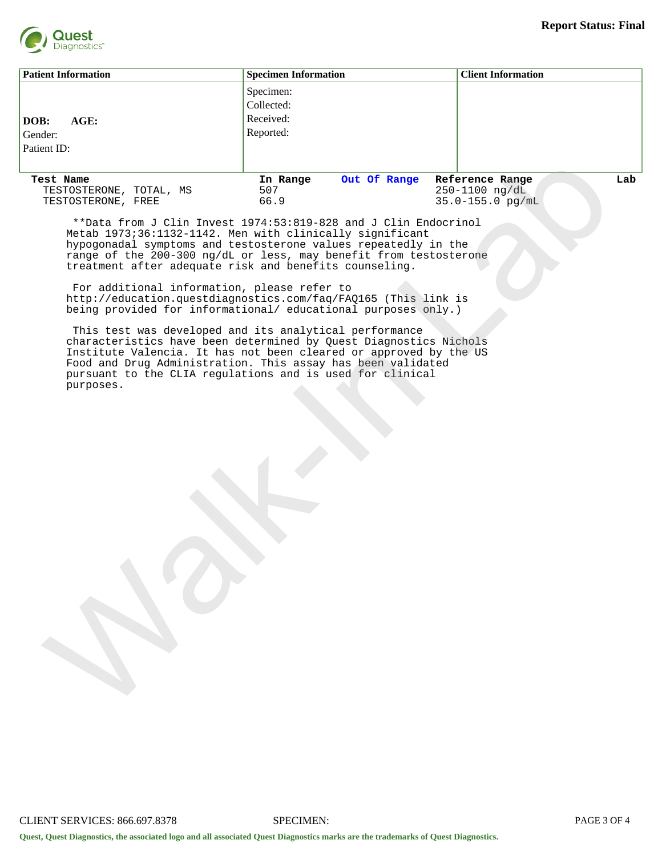

| <b>Patient Information</b>                                                                                                                                                                                                                                                                                                                                                                                                                                                                                                  |                                                                                                         | <b>Specimen Information</b>                                                                                                                                                                                                                                                                                   | <b>Client Information</b>                                         |     |  |
|-----------------------------------------------------------------------------------------------------------------------------------------------------------------------------------------------------------------------------------------------------------------------------------------------------------------------------------------------------------------------------------------------------------------------------------------------------------------------------------------------------------------------------|---------------------------------------------------------------------------------------------------------|---------------------------------------------------------------------------------------------------------------------------------------------------------------------------------------------------------------------------------------------------------------------------------------------------------------|-------------------------------------------------------------------|-----|--|
| DOB:<br>Gender:<br>Patient ID:                                                                                                                                                                                                                                                                                                                                                                                                                                                                                              | AGE:                                                                                                    | Specimen:<br>Collected:<br>Received:<br>Reported:                                                                                                                                                                                                                                                             |                                                                   |     |  |
| Test Name                                                                                                                                                                                                                                                                                                                                                                                                                                                                                                                   | TESTOSTERONE, TOTAL, MS<br>TESTOSTERONE, FREE<br>treatment after adequate risk and benefits counseling. | Out Of Range<br>In Range<br>507<br>66.9<br>**Data from J Clin Invest 1974:53:819-828 and J Clin Endocrinol<br>Metab 1973;36:1132-1142. Men with clinically significant<br>hypogonadal symptoms and testosterone values repeatedly in the<br>range of the 200-300 ng/dL or less, may benefit from testosterone | Reference Range<br>$250 - 1100 \text{ ng/dL}$<br>35.0-155.0 pg/mL | Lab |  |
| For additional information, please refer to<br>http://education.questdiagnostics.com/faq/FAQ165 (This link is<br>being provided for informational/ educational purposes only.)<br>This test was developed and its analytical performance<br>characteristics have been determined by Quest Diagnostics Nichols<br>Institute Valencia. It has not been cleared or approved by the US<br>Food and Drug Administration. This assay has been validated<br>pursuant to the CLIA regulations and is used for clinical<br>purposes. |                                                                                                         |                                                                                                                                                                                                                                                                                                               |                                                                   |     |  |
|                                                                                                                                                                                                                                                                                                                                                                                                                                                                                                                             |                                                                                                         |                                                                                                                                                                                                                                                                                                               |                                                                   |     |  |